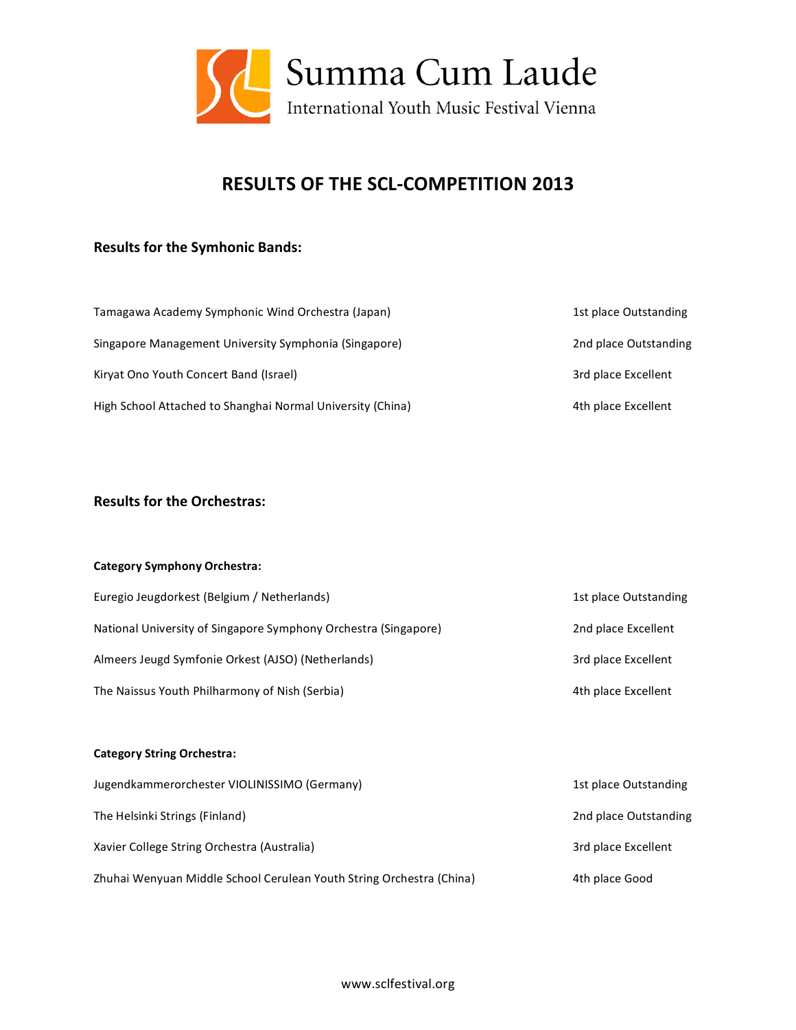

# **RESULTS OF THE SCL‐COMPETITION 2013**

# **Results for the Symhonic Bands:**

| Tamagawa Academy Symphonic Wind Orchestra (Japan)          | 1st place Outstanding |
|------------------------------------------------------------|-----------------------|
| Singapore Management University Symphonia (Singapore)      | 2nd place Outstanding |
| Kirvat Ono Youth Concert Band (Israel)                     | 3rd place Excellent   |
| High School Attached to Shanghai Normal University (China) | 4th place Excellent   |

## **Results for the Orchestras:**

#### **Category Symphony Orchestra:**

| Euregio Jeugdorkest (Belgium / Netherlands)                     | 1st place Outstanding |
|-----------------------------------------------------------------|-----------------------|
| National University of Singapore Symphony Orchestra (Singapore) | 2nd place Excellent   |
| Almeers Jeugd Symfonie Orkest (AJSO) (Netherlands)              | 3rd place Excellent   |
| The Naissus Youth Philharmony of Nish (Serbia)                  | 4th place Excellent   |

#### **Category String Orchestra:**

| Jugendkammerorchester VIOLINISSIMO (Germany)                         | 1st place Outstanding |
|----------------------------------------------------------------------|-----------------------|
| The Helsinki Strings (Finland)                                       | 2nd place Outstanding |
| Xavier College String Orchestra (Australia)                          | 3rd place Excellent   |
| Zhuhai Wenyuan Middle School Cerulean Youth String Orchestra (China) | 4th place Good        |

www.sclfestival.org